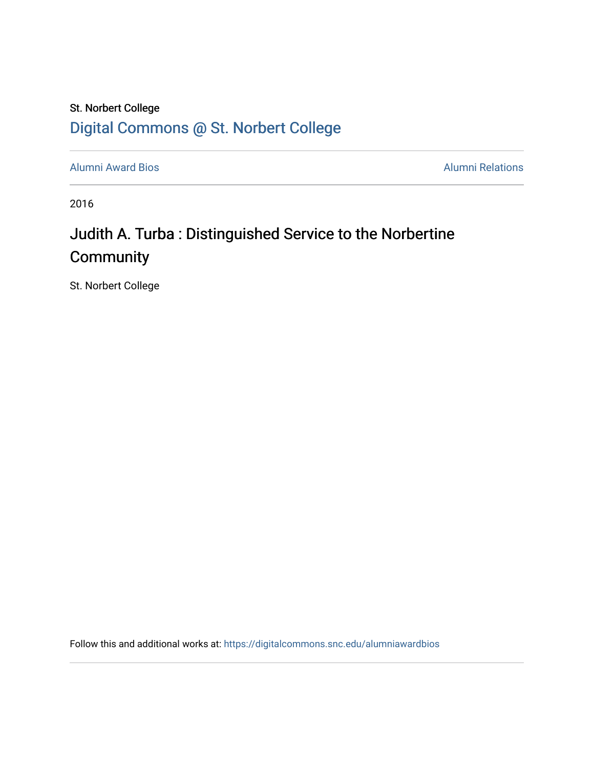### St. Norbert College [Digital Commons @ St. Norbert College](https://digitalcommons.snc.edu/)

[Alumni Award Bios](https://digitalcommons.snc.edu/alumniawardbios) **Alumni Relations** Alumni Relations

2016

## Judith A. Turba : Distinguished Service to the Norbertine **Community**

St. Norbert College

Follow this and additional works at: [https://digitalcommons.snc.edu/alumniawardbios](https://digitalcommons.snc.edu/alumniawardbios?utm_source=digitalcommons.snc.edu%2Falumniawardbios%2F76&utm_medium=PDF&utm_campaign=PDFCoverPages)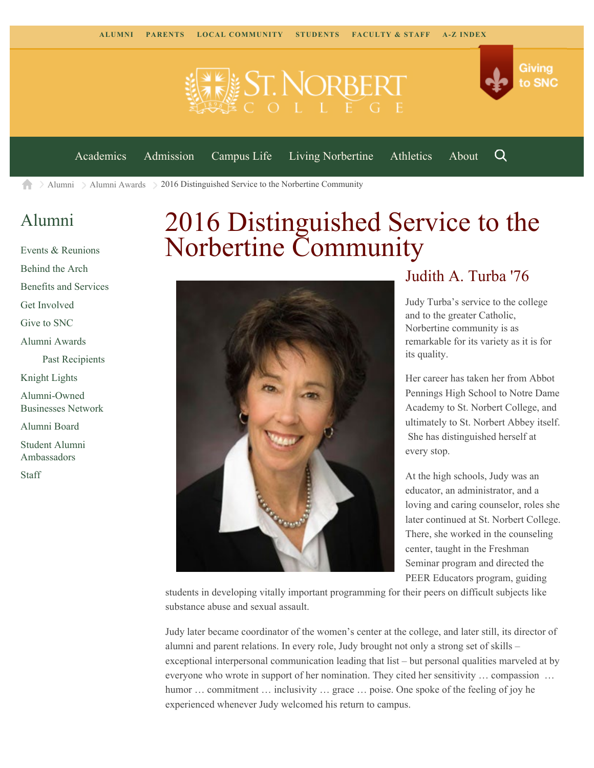



[Academics](https://www.snc.edu/academics) [Admission](https://www.snc.edu/admission) [Campus Life](https://www.snc.edu/campuslife) [Living Norbertine](https://www.snc.edu/livingnorbertine) [Athletics](https://www.snc.edu/athletics) [About](https://www.snc.edu/about)

Q

[Alumni](https://www.snc.edu/alumni/) [Alumni Awards](https://www.snc.edu/alumni/awards/)  $> 2016$  Distinguished Service to the Norbertine Community A

#### [Alumni](https://www.snc.edu/alumni/index.html)

[Events & Reunions](https://www.snc.edu/alumni/event/index.html) [Behind the Arch](https://www.snc.edu/alumni/event/behindthearch/) [Benefits and Services](https://www.snc.edu/alumni/benefits.html) [Get Involved](https://www.snc.edu/alumni/getinvolved.html) [Give to SNC](http://giving.snc.edu/) [Alumni Awards](https://www.snc.edu/alumni/awards/index.html) [Past Recipients](https://www.snc.edu/alumni/awards/recipients.html) [Knight Lights](https://www.snc.edu/alumni/knightlights/index.html) [Alumni-Owned](https://www.snc.edu/alumni/directory/index.html) [Businesses Network](https://www.snc.edu/alumni/directory/index.html) [Alumni Board](https://www.snc.edu/alumni/alumniboard.html) [Student Alumni](https://www.snc.edu/alumni/saa.html) [Ambassadors](https://www.snc.edu/alumni/saa.html) [Staff](https://www.snc.edu/alumni/contactus.html)

# 2016 Distinguished Service to the Norbertine Community



#### Judith A. Turba '76

Judy Turba's service to the college and to the greater Catholic, Norbertine community is as remarkable for its variety as it is for its quality.

Her career has taken her from Abbot Pennings High School to Notre Dame Academy to St. Norbert College, and ultimately to St. Norbert Abbey itself. She has distinguished herself at every stop.

At the high schools, Judy was an educator, an administrator, and a loving and caring counselor, roles she later continued at St. Norbert College. There, she worked in the counseling center, taught in the Freshman Seminar program and directed the PEER Educators program, guiding

students in developing vitally important programming for their peers on difficult subjects like substance abuse and sexual assault.

Judy later became coordinator of the women's center at the college, and later still, its director of alumni and parent relations. In every role, Judy brought not only a strong set of skills – exceptional interpersonal communication leading that list – but personal qualities marveled at by everyone who wrote in support of her nomination. They cited her sensitivity … compassion … humor ... commitment ... inclusivity ... grace ... poise. One spoke of the feeling of joy he experienced whenever Judy welcomed his return to campus.